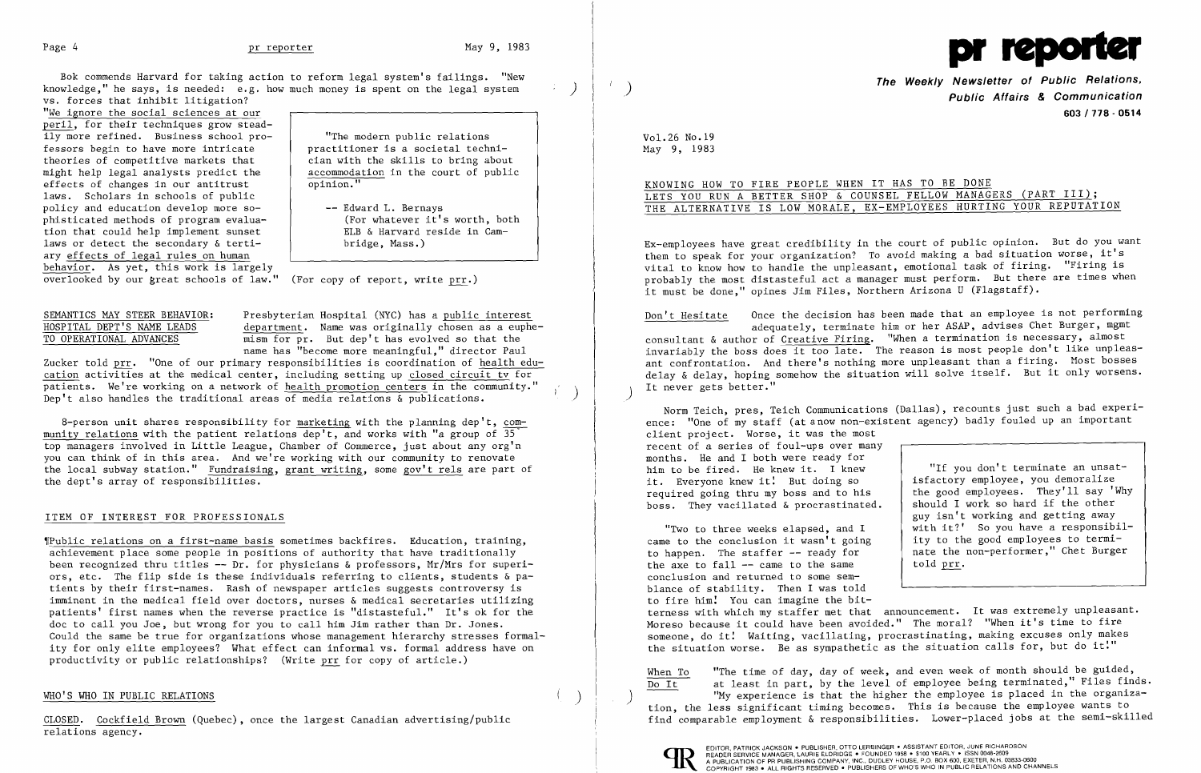

Bok commends Harvard for taking action to reform legal system's failings. "New knowledge," he says, is needed: e.g. how much money is spent on the legal system vs. forces that inhibit litigation?

"We ignore the social sciences at our peril, for their techniques grow steadily more refined. Business school pro "The modern public relations fessors begin to have more intricate practitioner is a societal technitheories of competitive markets that  $\begin{array}{|l|} \hline \text{tian with the skills to bring about} \\ \hline \text{might help legal analysts predict the} \\ \hline \end{array}$ might help legal analysts predict the accommodate accommodate effects of changes in our antitrust effects of changes in our antitrust laws. Scholars in schools of public policy and education develop more so-<br>phisticated methods of program evalua-<br>(For whatever it's worth, both phisticated methods of program evalua-<br>tion that could help implement sunset  $\begin{array}{c} \begin{array}{ccc} \text{ELB} & \text{S} & \text{Harvard reside in Cam-} \end{array} \end{array}$ tion that could help implement sunset  $\begin{array}{c} \begin{array}{c} \end{array}$  ELB & Harvard :<br>laws or detect the secondary & tertilaws or detect the secondary  $\&$  tertiary effects of legal rules on human behavior. As yet, this work is largely

overlooked by our great schools of law." (For copy of report, write prr.)

'IPublic relations on a first-name basis sometimes backfires. Education, training, achievement place some people in positions of authority that have traditionally been recognized thru titles **--** Dr. for physicians & professors, Mr/Mrs for superiors, etc. The flip side is these individuals referring to clients, students & patients by their first-names. Rash of newspaper articles suggests controversy is imminent in the medical field over doctors, nurses & medical secretaries utilizing patients' first names when the reverse practice is "distasteful." It's ok for the doc to call you Joe, but wrong for you to call him Jim rather than Dr. Jones. Could the same be true for organizations whose management hierarchy stresses formality for only elite employees? What effect can informal vs. formal address have on productivity or public relationships? (Write prr for copy of article.)

## WHO'S WHO IN PUBLIC RELATIONS

SEMANTICS MAY STEER BEHAVIOR: Presbyterian Hospital (NYC) has a public interest HOSPITAL DEPT'S NAME LEADS department. Name was originally chosen as a euphe-<br>TO OPERATIONAL ADVANCES mism for pr. But dep't has evolved so that the  $\overline{\text{mism}}$  for pr. But dep't has evolved so that the name has "become more meaningful," director Paul

Zucker told prr. "One of our primary responsibilities is coordination of health education activities at the medical center, including setting up closed circuit tv for patients. We're working on a network of health promotion centers in the community."<br>Dep't also handles the traditional areas of media relations  $\&$  publications.

8-person unit shares responsibility for marketing with the planning dep't, community relations with the patient relations dep't, and works with "a group of  $35$ " top managers involved in Little League, Chamber of Commerce, just about any org'n you can think of in this area. And we're working with our community to renovate the local subway station." Fundraising, grant writing, some gov't rels are part of the dept's array of responsibilities.

Don't Hesitate Once the decision has been made that an employee is not performing adequately, terminate him or her ASAP, advises Chet Burger, mgmt consultant & author of Creative Firing. "When a termination is necessary, almost invariably the boss does it too late. The reason is most people don't like unpleasant confrontation. And there's nothing more unpleasant than a firing. Most bosses delay & delay, hoping somehow the situation will solve itself. But it only worsens. It never gets better."

# ITEM OF INTEREST FOR PROFESSIONALS

Norm Teich, pres, Teich Communications (Dallas), recounts just such a bad experience: "One of my staff (at a now non-existent agency) badly fouled up an important client project. Worse, it was the most recent of a series of foul-ups over many months. He and I both were ready for<br>him to be fired. He knew it. I knew "If you don't terminate an unsat-<br>isfactory employee, you demoralize it. Everyone knew it! But doing so isfactory employee, you demoralize<br>required soing thru my boss and to his the good employees. They'll say 'Why required going thru my boss and to his (the good employees. They'll say 'Whoss. They'll say 'Why hoss. boss. They vacillated & procrastinated.

"Two to three weeks elapsed, and I with it?' So you have a responsibil-<br>e to the conclusion it wasn't going ity to the good employees to termicame to the conclusion it wasn't going<br>to happen. The staffer  $-$ - ready for nate the non-performer," Chet Burger the axe to fall  $--$  came to the same told prr. conclusion and returned to some semblance of stability. Then I was told to fire him: You can imagine the bitterness with which my staffer met that announcement. It was extremely unpleasant. Moreso because it could have been avoided." The moral? "When it's time to fire someone, do it! Waiting, vacillating, procrastinating, making excuses only makes the situation worse. Be as sympathetic as the situation calls for, but do it!"

When To "The time of day, day of week, and even week of month should be guided,  $\overline{\text{Do It}}$  at least in part, by the level of employee being terminated," Files finds.<br>"My experience is that the higher the employee is placed in the organization, the less significant timing becomes. This is because the employee wants to find comparable employment & responsibilities. Lower-placed jobs at the semi-skilled



EDITOR, PATRICK JACKSON • PUBLISHER, OTTO LERBINGER • ASSISTANT EDITOR, JUNE RICHARDSON<br>READER SERVICE MANAGER, LAURIE ELDRIDGE • FOUNDED 1958 • \$100 YEARLY • ISSN 0048-2609 FUBLICATION OF PR PUBLISHING COMPANY, INC., DUDLEY HOUSE, P.O. BOX 600. EXETER, N.H. 03833-0600<br>A PUBLICATION OF PR PUBLISHING COMPANY, INC., DUDLEY HOUSE, P.O. BOX 600. EXETER, N.H. 03833-0600<br>COPYRIGHT 1983 • ALL RIGHTS

CLOSED. Cockfield Brown (Quebec), once the largest Canadian advertising/public relations agency.

 $\mathcal{L}$ 

**The Weekly Newsletter of Public Relations,** ) **Public Affairs & Communication 603/718 - 0514** 

Vol.26 No.19 May 9, 1983

KNOWING HOW TO FIRE PEOPLE WHEN IT HAS TO BE DONE LETS YOU RUN A BETTER SHOP & COUNSEL FELLOW MANAGERS (PART III); THE ALTERNATIVE IS LOW MORALE, EX-EMPLOYEES HURTING YOUR REPUTATION

Ex-employees have great credibility in the court of public opinion. But do you want them to speak for your organization? To avoid making a bad situation worse, it's vital to know how to handle the unpleasant, emotional task of firing. "Firing is probably the most distasteful act a manager must perform. But there are times when it must be done," opines Jim Files, Northern Arizona U (Flagstaff).

guy isn't working and getting away